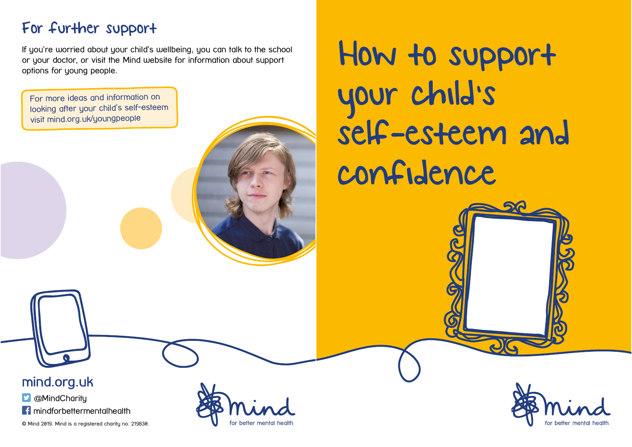## For further support

If you're worried about your child's wellbeing, you can talk to the school or your doctor, or visit the Mind website for information about support options for young people.

For more ideas and information on looking after your child's self-esteem visit mind.org.uk/youngpeople

How to support your child's self-esteem and confidence

mind.org.uk

**D** @MindCharity

**f** mindforbettermentalhealth

© Mind 2019. Mind is a registered charity no. 219830.